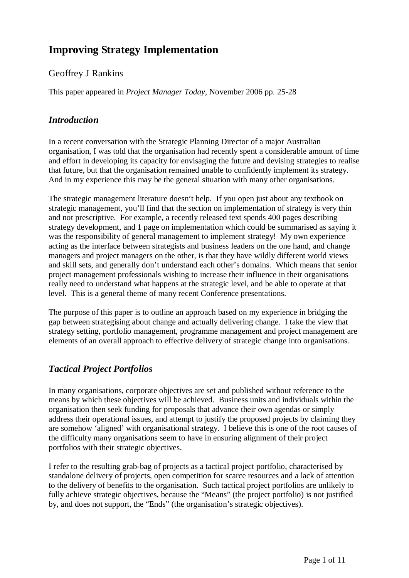# **Improving Strategy Implementation**

#### Geoffrey J Rankins

This paper appeared in *Project Manager Today*, November 2006 pp. 25-28

#### *Introduction*

In a recent conversation with the Strategic Planning Director of a major Australian organisation, I was told that the organisation had recently spent a considerable amount of time and effort in developing its capacity for envisaging the future and devising strategies to realise that future, but that the organisation remained unable to confidently implement its strategy. And in my experience this may be the general situation with many other organisations.

The strategic management literature doesn't help. If you open just about any textbook on strategic management, you'll find that the section on implementation of strategy is very thin and not prescriptive. For example, a recently released text spends 400 pages describing strategy development, and 1 page on implementation which could be summarised as saying it was the responsibility of general management to implement strategy! My own experience acting as the interface between strategists and business leaders on the one hand, and change managers and project managers on the other, is that they have wildly different world views and skill sets, and generally don't understand each other's domains. Which means that senior project management professionals wishing to increase their influence in their organisations really need to understand what happens at the strategic level, and be able to operate at that level. This is a general theme of many recent Conference presentations.

The purpose of this paper is to outline an approach based on my experience in bridging the gap between strategising about change and actually delivering change. I take the view that strategy setting, portfolio management, programme management and project management are elements of an overall approach to effective delivery of strategic change into organisations.

# *Tactical Project Portfolios*

In many organisations, corporate objectives are set and published without reference to the means by which these objectives will be achieved. Business units and individuals within the organisation then seek funding for proposals that advance their own agendas or simply address their operational issues, and attempt to justify the proposed projects by claiming they are somehow 'aligned' with organisational strategy. I believe this is one of the root causes of the difficulty many organisations seem to have in ensuring alignment of their project portfolios with their strategic objectives.

I refer to the resulting grab-bag of projects as a tactical project portfolio, characterised by standalone delivery of projects, open competition for scarce resources and a lack of attention to the delivery of benefits to the organisation. Such tactical project portfolios are unlikely to fully achieve strategic objectives, because the "Means" (the project portfolio) is not justified by, and does not support, the "Ends" (the organisation's strategic objectives).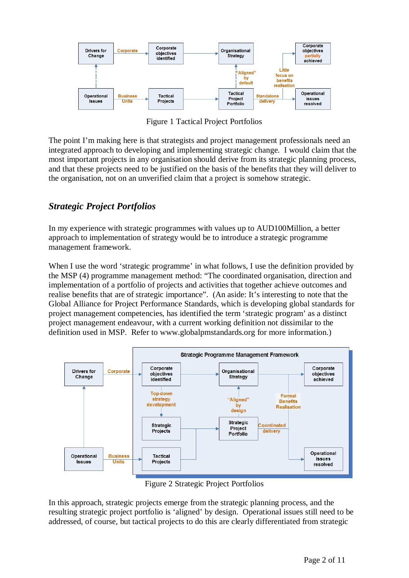

Figure 1 Tactical Project Portfolios

The point I'm making here is that strategists and project management professionals need an integrated approach to developing and implementing strategic change. I would claim that the most important projects in any organisation should derive from its strategic planning process, and that these projects need to be justified on the basis of the benefits that they will deliver to the organisation, not on an unverified claim that a project is somehow strategic.

# *Strategic Project Portfolios*

In my experience with strategic programmes with values up to AUD100Million, a better approach to implementation of strategy would be to introduce a strategic programme management framework.

When I use the word 'strategic programme' in what follows, I use the definition provided by the MSP (4) programme management method: "The coordinated organisation, direction and implementation of a portfolio of projects and activities that together achieve outcomes and realise benefits that are of strategic importance". (An aside: It's interesting to note that the Global Alliance for Project Performance Standards, which is developing global standards for project management competencies, has identified the term 'strategic program' as a distinct project management endeavour, with a current working definition not dissimilar to the definition used in MSP. Refer to www.globalpmstandards.org for more information.)



Figure 2 Strategic Project Portfolios

In this approach, strategic projects emerge from the strategic planning process, and the resulting strategic project portfolio is 'aligned' by design. Operational issues still need to be addressed, of course, but tactical projects to do this are clearly differentiated from strategic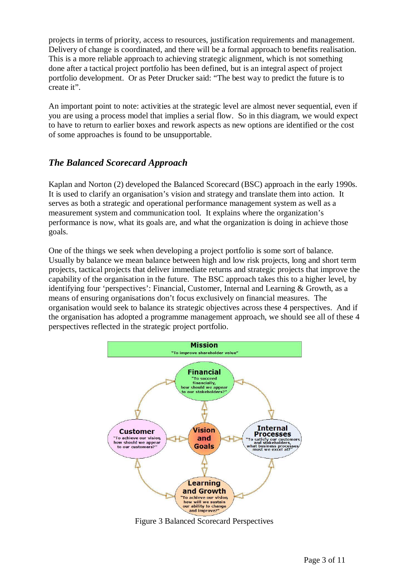projects in terms of priority, access to resources, justification requirements and management. Delivery of change is coordinated, and there will be a formal approach to benefits realisation. This is a more reliable approach to achieving strategic alignment, which is not something done after a tactical project portfolio has been defined, but is an integral aspect of project portfolio development. Or as Peter Drucker said: "The best way to predict the future is to create it".

An important point to note: activities at the strategic level are almost never sequential, even if you are using a process model that implies a serial flow. So in this diagram, we would expect to have to return to earlier boxes and rework aspects as new options are identified or the cost of some approaches is found to be unsupportable.

#### *The Balanced Scorecard Approach*

Kaplan and Norton (2) developed the Balanced Scorecard (BSC) approach in the early 1990s. It is used to clarify an organisation's vision and strategy and translate them into action. It serves as both a strategic and operational performance management system as well as a measurement system and communication tool. It explains where the organization's performance is now, what its goals are, and what the organization is doing in achieve those goals.

One of the things we seek when developing a project portfolio is some sort of balance. Usually by balance we mean balance between high and low risk projects, long and short term projects, tactical projects that deliver immediate returns and strategic projects that improve the capability of the organisation in the future. The BSC approach takes this to a higher level, by identifying four 'perspectives': Financial, Customer, Internal and Learning & Growth, as a means of ensuring organisations don't focus exclusively on financial measures. The organisation would seek to balance its strategic objectives across these 4 perspectives. And if the organisation has adopted a programme management approach, we should see all of these 4 perspectives reflected in the strategic project portfolio.



Figure 3 Balanced Scorecard Perspectives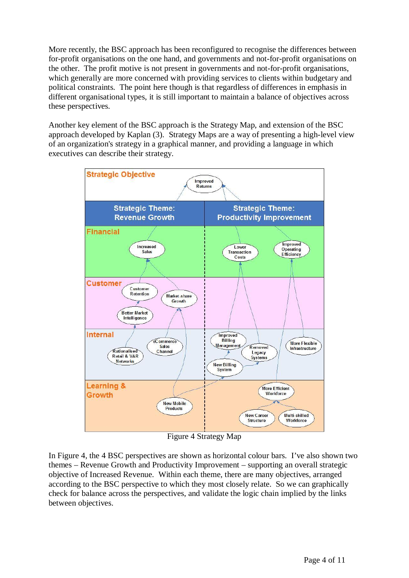More recently, the BSC approach has been reconfigured to recognise the differences between for-profit organisations on the one hand, and governments and not-for-profit organisations on the other. The profit motive is not present in governments and not-for-profit organisations, which generally are more concerned with providing services to clients within budgetary and political constraints. The point here though is that regardless of differences in emphasis in different organisational types, it is still important to maintain a balance of objectives across these perspectives.

Another key element of the BSC approach is the Strategy Map, and extension of the BSC approach developed by Kaplan (3). Strategy Maps are a way of presenting a high-level view of an organization's strategy in a graphical manner, and providing a language in which executives can describe their strategy.



Figure 4 Strategy Map

In Figure 4, the 4 BSC perspectives are shown as horizontal colour bars. I've also shown two themes – Revenue Growth and Productivity Improvement – supporting an overall strategic objective of Increased Revenue. Within each theme, there are many objectives, arranged according to the BSC perspective to which they most closely relate. So we can graphically check for balance across the perspectives, and validate the logic chain implied by the links between objectives.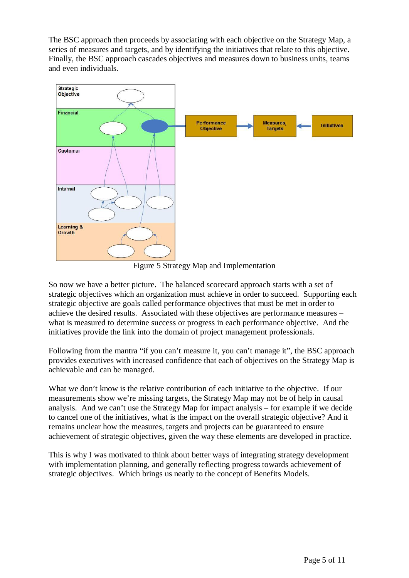The BSC approach then proceeds by associating with each objective on the Strategy Map, a series of measures and targets, and by identifying the initiatives that relate to this objective. Finally, the BSC approach cascades objectives and measures down to business units, teams and even individuals.



Figure 5 Strategy Map and Implementation

So now we have a better picture. The balanced scorecard approach starts with a set of strategic objectives which an organization must achieve in order to succeed. Supporting each strategic objective are goals called performance objectives that must be met in order to achieve the desired results. Associated with these objectives are performance measures – what is measured to determine success or progress in each performance objective. And the initiatives provide the link into the domain of project management professionals.

Following from the mantra "if you can't measure it, you can't manage it", the BSC approach provides executives with increased confidence that each of objectives on the Strategy Map is achievable and can be managed.

What we don't know is the relative contribution of each initiative to the objective. If our measurements show we're missing targets, the Strategy Map may not be of help in causal analysis. And we can't use the Strategy Map for impact analysis – for example if we decide to cancel one of the initiatives, what is the impact on the overall strategic objective? And it remains unclear how the measures, targets and projects can be guaranteed to ensure achievement of strategic objectives, given the way these elements are developed in practice.

This is why I was motivated to think about better ways of integrating strategy development with implementation planning, and generally reflecting progress towards achievement of strategic objectives. Which brings us neatly to the concept of Benefits Models.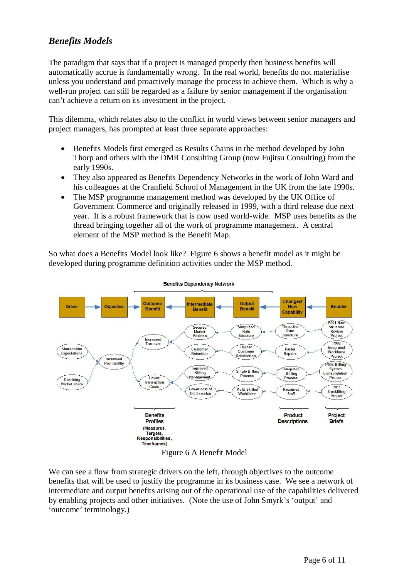#### *Benefits Models*

The paradigm that says that if a project is managed properly then business benefits will automatically accrue is fundamentally wrong. In the real world, benefits do not materialise unless you understand and proactively manage the process to achieve them. Which is why a well-run project can still be regarded as a failure by senior management if the organisation can't achieve a return on its investment in the project.

This dilemma, which relates also to the conflict in world views between senior managers and project managers, has prompted at least three separate approaches:

- Benefits Models first emerged as Results Chains in the method developed by John Thorp and others with the DMR Consulting Group (now Fujitsu Consulting) from the early 1990s.
- They also appeared as Benefits Dependency Networks in the work of John Ward and his colleagues at the Cranfield School of Management in the UK from the late 1990s.
- The MSP programme management method was developed by the UK Office of Government Commerce and originally released in 1999, with a third release due next year. It is a robust framework that is now used world-wide. MSP uses benefits as the thread bringing together all of the work of programme management. A central element of the MSP method is the Benefit Map.

So what does a Benefits Model look like? Figure 6 shows a benefit model as it might be developed during programme definition activities under the MSP method.



**Benefits Dependency Network** 

#### Figure 6 A Benefit Model

We can see a flow from strategic drivers on the left, through objectives to the outcome benefits that will be used to justify the programme in its business case. We see a network of intermediate and output benefits arising out of the operational use of the capabilities delivered by enabling projects and other initiatives. (Note the use of John Smyrk's 'output' and 'outcome' terminology.)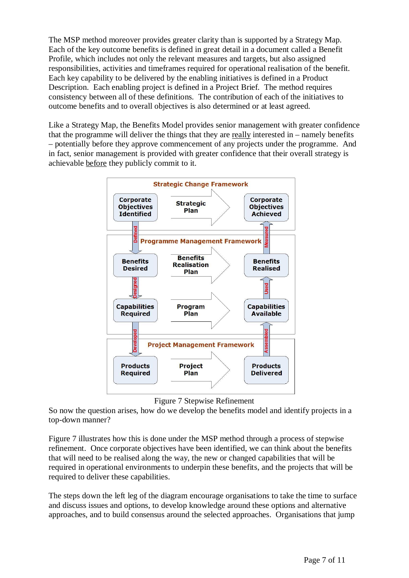The MSP method moreover provides greater clarity than is supported by a Strategy Map. Each of the key outcome benefits is defined in great detail in a document called a Benefit Profile, which includes not only the relevant measures and targets, but also assigned responsibilities, activities and timeframes required for operational realisation of the benefit. Each key capability to be delivered by the enabling initiatives is defined in a Product Description. Each enabling project is defined in a Project Brief. The method requires consistency between all of these definitions. The contribution of each of the initiatives to outcome benefits and to overall objectives is also determined or at least agreed.

Like a Strategy Map, the Benefits Model provides senior management with greater confidence that the programme will deliver the things that they are really interested in – namely benefits – potentially before they approve commencement of any projects under the programme. And in fact, senior management is provided with greater confidence that their overall strategy is achievable before they publicly commit to it.



Figure 7 Stepwise Refinement

So now the question arises, how do we develop the benefits model and identify projects in a top-down manner?

Figure 7 illustrates how this is done under the MSP method through a process of stepwise refinement. Once corporate objectives have been identified, we can think about the benefits that will need to be realised along the way, the new or changed capabilities that will be required in operational environments to underpin these benefits, and the projects that will be required to deliver these capabilities.

The steps down the left leg of the diagram encourage organisations to take the time to surface and discuss issues and options, to develop knowledge around these options and alternative approaches, and to build consensus around the selected approaches. Organisations that jump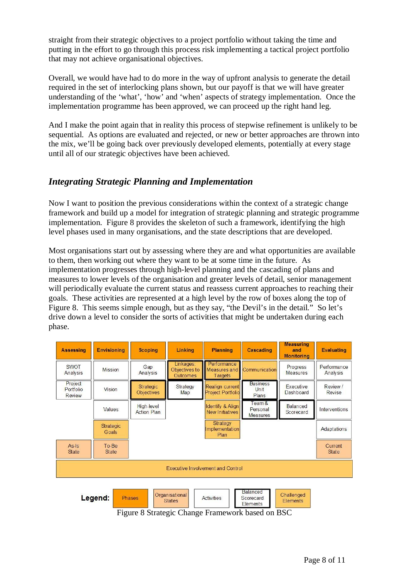straight from their strategic objectives to a project portfolio without taking the time and putting in the effort to go through this process risk implementing a tactical project portfolio that may not achieve organisational objectives.

Overall, we would have had to do more in the way of upfront analysis to generate the detail required in the set of interlocking plans shown, but our payoff is that we will have greater understanding of the 'what', 'how' and 'when' aspects of strategy implementation. Once the implementation programme has been approved, we can proceed up the right hand leg.

And I make the point again that in reality this process of stepwise refinement is unlikely to be sequential. As options are evaluated and rejected, or new or better approaches are thrown into the mix, we'll be going back over previously developed elements, potentially at every stage until all of our strategic objectives have been achieved.

#### *Integrating Strategic Planning and Implementation*

Now I want to position the previous considerations within the context of a strategic change framework and build up a model for integration of strategic planning and strategic programme implementation. Figure 8 provides the skeleton of such a framework, identifying the high level phases used in many organisations, and the state descriptions that are developed.

Most organisations start out by assessing where they are and what opportunities are available to them, then working out where they want to be at some time in the future. As implementation progresses through high-level planning and the cascading of plans and measures to lower levels of the organisation and greater levels of detail, senior management will periodically evaluate the current status and reassess current approaches to reaching their goals. These activities are represented at a high level by the row of boxes along the top of Figure 8. This seems simple enough, but as they say, "the Devil's in the detail." So let's drive down a level to consider the sorts of activities that might be undertaken during each phase.

| <b>Assessing</b>                                                                                                                                              | <b>Envisioning</b> | <b>Scoping</b>                   | Linking                                       | <b>Planning</b>                                       | <b>Cascading</b>                            | <b>Measuring</b><br>and<br><b>Monitoring</b> | <b>Evaluating</b>       |  |  |  |  |
|---------------------------------------------------------------------------------------------------------------------------------------------------------------|--------------------|----------------------------------|-----------------------------------------------|-------------------------------------------------------|---------------------------------------------|----------------------------------------------|-------------------------|--|--|--|--|
| <b>SWOT</b><br>Analysis                                                                                                                                       | Mission            | Gap<br>Analysis                  | Linkages:<br>Objectives to<br><b>Outcomes</b> | Performance<br><b>Measures</b> and<br>Targets         | <b>Communication</b>                        | Progress<br><b>Measures</b>                  | Performance<br>Analysis |  |  |  |  |
| Project<br>Portfolio<br>Review                                                                                                                                | Vision             | Strategic<br><b>Objectives</b>   | Strategy<br>Map                               | Realign current<br><b>Project Portfolio</b>           | <b>Business</b><br>Unit<br>Plans            | <b><i><u>Executive</u></i></b><br>Dashboard  | Review /<br>Revise      |  |  |  |  |
|                                                                                                                                                               | Values             | High-level<br><b>Action Plan</b> |                                               | <b>Identify &amp; Align</b><br><b>New Initiatives</b> | $F$ eam $\&$<br>Personal<br><b>Measures</b> | Balanced<br>Scorecard                        | Interventions           |  |  |  |  |
|                                                                                                                                                               | Strategic<br>Goals |                                  |                                               | Strategy<br>Implementation<br>Plan                    |                                             |                                              | Adaptations             |  |  |  |  |
| $As - 1s$<br><b>State</b>                                                                                                                                     | To-Be<br>State     |                                  |                                               |                                                       |                                             |                                              | Current<br>State        |  |  |  |  |
| Executive Involvement and Control                                                                                                                             |                    |                                  |                                               |                                                       |                                             |                                              |                         |  |  |  |  |
| <b>Balanced</b><br>Organisational<br>Challenged<br>Legend:<br><b>Phases</b><br><b>Activities</b><br>Scorecard<br><b>States</b><br><b>Elements</b><br>Elements |                    |                                  |                                               |                                                       |                                             |                                              |                         |  |  |  |  |

Figure 8 Strategic Change Framework based on BSC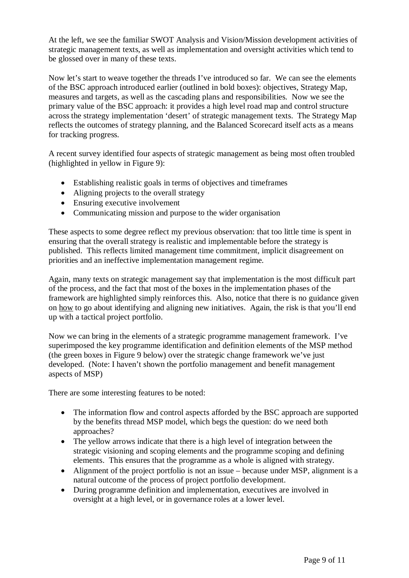At the left, we see the familiar SWOT Analysis and Vision/Mission development activities of strategic management texts, as well as implementation and oversight activities which tend to be glossed over in many of these texts.

Now let's start to weave together the threads I've introduced so far. We can see the elements of the BSC approach introduced earlier (outlined in bold boxes): objectives, Strategy Map, measures and targets, as well as the cascading plans and responsibilities. Now we see the primary value of the BSC approach: it provides a high level road map and control structure across the strategy implementation 'desert' of strategic management texts. The Strategy Map reflects the outcomes of strategy planning, and the Balanced Scorecard itself acts as a means for tracking progress.

A recent survey identified four aspects of strategic management as being most often troubled (highlighted in yellow in Figure 9):

- Establishing realistic goals in terms of objectives and timeframes
- $\bullet$  Aligning projects to the overall strategy
- $\bullet$  Ensuring executive involvement
- Communicating mission and purpose to the wider organisation

These aspects to some degree reflect my previous observation: that too little time is spent in ensuring that the overall strategy is realistic and implementable before the strategy is published. This reflects limited management time commitment, implicit disagreement on priorities and an ineffective implementation management regime.

Again, many texts on strategic management say that implementation is the most difficult part of the process, and the fact that most of the boxes in the implementation phases of the framework are highlighted simply reinforces this. Also, notice that there is no guidance given on how to go about identifying and aligning new initiatives. Again, the risk is that you'll end up with a tactical project portfolio.

Now we can bring in the elements of a strategic programme management framework. I've superimposed the key programme identification and definition elements of the MSP method (the green boxes in Figure 9 below) over the strategic change framework we've just developed. (Note: I haven't shown the portfolio management and benefit management aspects of MSP)

There are some interesting features to be noted:

- The information flow and control aspects afforded by the BSC approach are supported by the benefits thread MSP model, which begs the question: do we need both approaches?
- The yellow arrows indicate that there is a high level of integration between the strategic visioning and scoping elements and the programme scoping and defining elements. This ensures that the programme as a whole is aligned with strategy.
- $\bullet$  Alignment of the project portfolio is not an issue because under MSP, alignment is a natural outcome of the process of project portfolio development.
- During programme definition and implementation, executives are involved in oversight at a high level, or in governance roles at a lower level.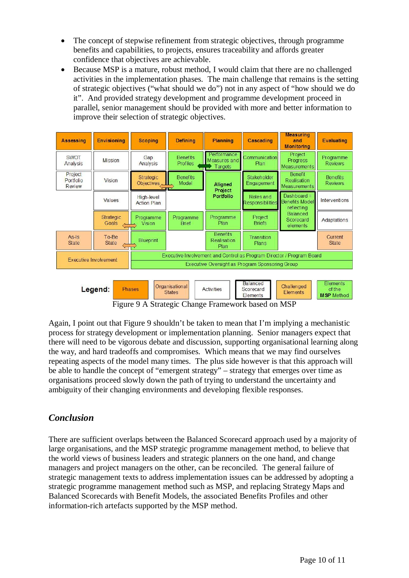- The concept of stepwise refinement from strategic objectives, through programme benefits and capabilities, to projects, ensures traceability and affords greater confidence that objectives are achievable.
- Because MSP is a mature, robust method, I would claim that there are no challenged activities in the implementation phases. The main challenge that remains is the setting of strategic objectives ("what should we do") not in any aspect of "how should we do it". And provided strategy development and programme development proceed in parallel, senior management should be provided with more and better information to improve their selection of strategic objectives.

| <b>Assessing</b>                                                                                                                    | <b>Envisioning</b>    | <b>Scoping</b>                                                        | <b>Defining</b>                    | <b>Planning</b>                               | Cascading                            | <b>Measuring</b><br>and<br><b>Monitoring</b>         | <b>Evaluating</b>                 |  |  |
|-------------------------------------------------------------------------------------------------------------------------------------|-----------------------|-----------------------------------------------------------------------|------------------------------------|-----------------------------------------------|--------------------------------------|------------------------------------------------------|-----------------------------------|--|--|
| <b>SWOT</b><br>Analysis                                                                                                             | <b>Mission</b>        | Gap<br>Analysis                                                       | <b>Benefits</b><br><b>Profiles</b> | Performance<br><b>Measures</b> and<br>Targets | Communication<br>Plan                | Project<br>Progress<br>Measurements                  | Programme<br><b>Reviews</b>       |  |  |
| Project<br>Portfolio<br>Review                                                                                                      | <b>Vision</b>         | <b>Strategic</b><br>Objectives                                        | <b>Benefits</b><br>Model           | Aligned<br>Project<br><b>Portfolio</b>        | Stakeholder<br>Engagement            | Benefit<br>Realisation<br>Measurements               | <b>Benefits</b><br><b>Reviews</b> |  |  |
|                                                                                                                                     | Values                | High-level<br><b>Action Plan</b>                                      |                                    |                                               | Roles and<br><b>Responsibilities</b> | Dashboard $=$<br><b>Benefits Model</b><br>reflecting | Interventions                     |  |  |
|                                                                                                                                     | Strategic<br>Goals    | Programme<br><b>Vision</b>                                            | Programme<br><b>Brief</b>          | Programme<br>Plan                             | Project<br><b>Briefs</b>             | <b>Balanced</b><br>Scorecard<br>elements             | Adaptations                       |  |  |
| $As - 1$<br><b>State</b>                                                                                                            | To-Be<br><b>State</b> | <b>Blueprint</b>                                                      |                                    | <b>Benefits</b><br>Realisation<br>Plan        | Transition<br>Plans                  |                                                      | <b>Current</b><br><b>State</b>    |  |  |
| <b>Executive Involvement</b>                                                                                                        |                       | Executive Involvement and Control as Program Director / Program Board |                                    |                                               |                                      |                                                      |                                   |  |  |
|                                                                                                                                     |                       | Executive Oversight as Program Sponsoring Group                       |                                    |                                               |                                      |                                                      |                                   |  |  |
| Balanced<br>Challenged<br>Organisational<br>Legend:<br><b>Phases</b><br><b>Activities</b><br>Scorecard<br><b>States</b><br>Elements |                       |                                                                       |                                    |                                               |                                      |                                                      | Elements<br>of the                |  |  |

Figure 9 A Strategic Change Framework based on MSP

Again, I point out that Figure 9 shouldn't be taken to mean that I'm implying a mechanistic process for strategy development or implementation planning. Senior managers expect that there will need to be vigorous debate and discussion, supporting organisational learning along the way, and hard tradeoffs and compromises. Which means that we may find ourselves repeating aspects of the model many times. The plus side however is that this approach will be able to handle the concept of "emergent strategy" – strategy that emerges over time as organisations proceed slowly down the path of trying to understand the uncertainty and ambiguity of their changing environments and developing flexible responses.

#### *Conclusion*

There are sufficient overlaps between the Balanced Scorecard approach used by a majority of large organisations, and the MSP strategic programme management method, to believe that the world views of business leaders and strategic planners on the one hand, and change managers and project managers on the other, can be reconciled. The general failure of strategic management texts to address implementation issues can be addressed by adopting a strategic programme management method such as MSP, and replacing Strategy Maps and Balanced Scorecards with Benefit Models, the associated Benefits Profiles and other information-rich artefacts supported by the MSP method.

Elements

**Elements** 

**MSP** Method